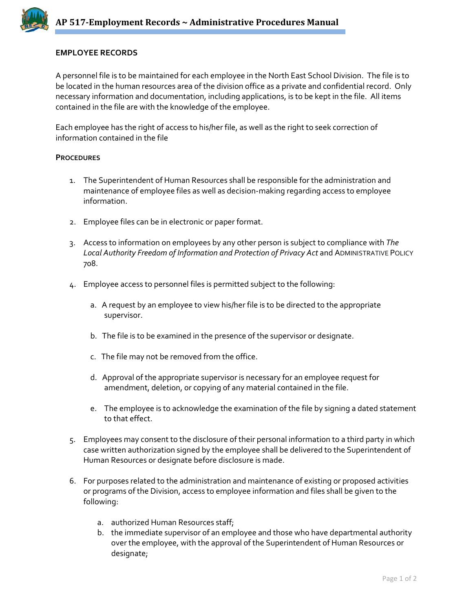## **EMPLOYEE RECORDS**

A personnel file is to be maintained for each employee in the North East School Division. The file is to be located in the human resources area of the division office as a private and confidential record. Only necessary information and documentation, including applications, is to be kept in the file. All items contained in the file are with the knowledge of the employee.

Each employee has the right of access to his/her file, as well as the right to seek correction of information contained in the file

## **PROCEDURES**

- 1. The Superintendent of Human Resources shall be responsible for the administration and maintenance of employee files as well as decision‐making regarding access to employee information.
- 2. Employee files can be in electronic or paper format.
- 3. Access to information on employees by any other person is subject to compliance with *The Local Authority Freedom of Information and Protection of Privacy Act* and ADMINISTRATIVE POLICY 708.
- 4. Employee access to personnel files is permitted subject to the following:
	- a. A request by an employee to view his/her file is to be directed to the appropriate supervisor.
	- b. The file is to be examined in the presence of the supervisor or designate.
	- c. The file may not be removed from the office.
	- d. Approval of the appropriate supervisor is necessary for an employee request for amendment, deletion, or copying of any material contained in the file.
	- e. The employee is to acknowledge the examination of the file by signing a dated statement to that effect.
- 5. Employees may consent to the disclosure of their personal information to a third party in which case written authorization signed by the employee shall be delivered to the Superintendent of Human Resources or designate before disclosure is made.
- 6. For purposes related to the administration and maintenance of existing or proposed activities or programs of the Division, access to employee information and files shall be given to the following:
	- a. authorized Human Resources staff;
	- b. the immediate supervisor of an employee and those who have departmental authority over the employee, with the approval of the Superintendent of Human Resources or designate;